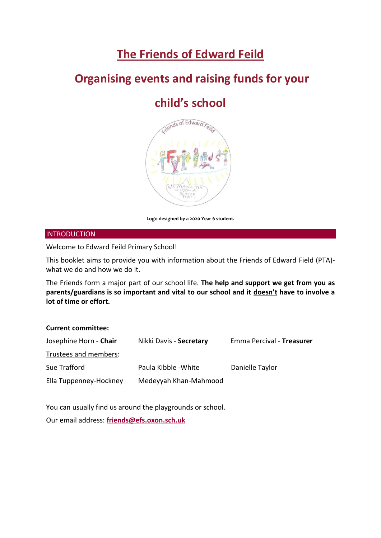# **The Friends of Edward Feild**

## **Organising events and raising funds for your**

## **child's school**



**Logo designed by a 2020 Year 6 student.** 

#### **INTRODUCTION**

Welcome to Edward Feild Primary School!

This booklet aims to provide you with information about the Friends of Edward Field (PTA) what we do and how we do it.

The Friends form a major part of our school life. **The help and support we get from you as parents/guardians is so important and vital to our school and it doesn't have to involve a lot of time or effort.** 

## **Current committee:**

| Josephine Horn - <b>Chair</b> | Nikki Davis - Secretary | Emma Percival - Treasurer |
|-------------------------------|-------------------------|---------------------------|
| Trustees and members:         |                         |                           |
| Sue Trafford                  | Paula Kibble - White    | Danielle Taylor           |
| Ella Tuppenney-Hockney        | Medeyyah Khan-Mahmood   |                           |

You can usually find us around the playgrounds or school.

Our email address: **[friends@efs.oxon.sch.uk](mailto:friends@efs.oxon.sch.uk)**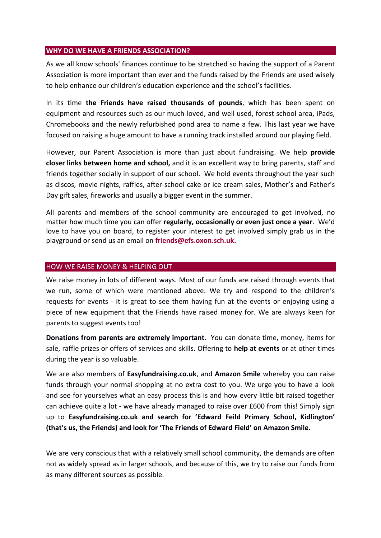#### **WHY DO WE HAVE A FRIENDS ASSOCIATION?**

As we all know schools' finances continue to be stretched so having the support of a Parent Association is more important than ever and the funds raised by the Friends are used wisely to help enhance our children's education experience and the school's facilities.

In its time **the Friends have raised thousands of pounds**, which has been spent on equipment and resources such as our much-loved, and well used, forest school area, iPads, Chromebooks and the newly refurbished pond area to name a few. This last year we have focused on raising a huge amount to have a running track installed around our playing field.

However, our Parent Association is more than just about fundraising. We help **provide closer links between home and school,** and it is an excellent way to bring parents, staff and friends together socially in support of our school. We hold events throughout the year such as discos, movie nights, raffles, after-school cake or ice cream sales, Mother's and Father's Day gift sales, fireworks and usually a bigger event in the summer.

All parents and members of the school community are encouraged to get involved, no matter how much time you can offer **regularly, occasionally or even just once a year**. We'd love to have you on board, to register your interest to get involved simply grab us in the playground or send us an email on **[friends@efs.oxon.sch.uk.](mailto:friends@efs.oxon.sch.uk)**

#### HOW WE RAISE MONEY & HELPING OUT

We raise money in lots of different ways. Most of our funds are raised through events that we run, some of which were mentioned above. We try and respond to the children's requests for events - it is great to see them having fun at the events or enjoying using a piece of new equipment that the Friends have raised money for. We are always keen for parents to suggest events too!

**Donations from parents are extremely important**. You can donate time, money, items for sale, raffle prizes or offers of services and skills. Offering to **help at events** or at other times during the year is so valuable.

We are also members of **Easyfundraising.co.uk**, and **Amazon Smile** whereby you can raise funds through your normal shopping at no extra cost to you. We urge you to have a look and see for yourselves what an easy process this is and how every little bit raised together can achieve quite a lot - we have already managed to raise over £600 from this! Simply sign up to **Easyfundraising.co.uk and search for 'Edward Feild Primary School, Kidlington' (that's us, the Friends) and look for 'The Friends of Edward Field' on Amazon Smile.** 

We are very conscious that with a relatively small school community, the demands are often not as widely spread as in larger schools, and because of this, we try to raise our funds from as many different sources as possible.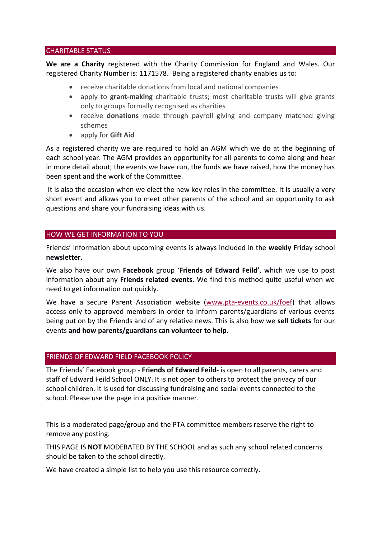#### CHARITABLE STATUS

**We are a Charity** registered with the Charity Commission for England and Wales. Our registered Charity Number is: 1171578. Being a registered charity enables us to:

- receive charitable donations from local and national companies
- apply to **grant-making** charitable trusts; most charitable trusts will give grants only to groups formally recognised as charities
- receive **donations** made through payroll giving and company matched giving schemes
- apply for **Gift Aid**

As a registered charity we are required to hold an AGM which we do at the beginning of each school year. The AGM provides an opportunity for all parents to come along and hear in more detail about; the events we have run, the funds we have raised, how the money has been spent and the work of the Committee.

It is also the occasion when we elect the new key roles in the committee*.* It is usually a very short event and allows you to meet other parents of the school and an opportunity to ask questions and share your fundraising ideas with us.

## HOW WE GET INFORMATION TO YOU

Friends' information about upcoming events is always included in the **weekly** Friday school **newsletter**.

We also have our own **Facebook** group '**Friends of Edward Feild'**, which we use to post information about any **Friends related events**. We find this method quite useful when we need to get information out quickly.

We have a secure Parent Association website [\(www.pta-events.co.uk/foef\)](http://www.pta-events.co.uk/foef) that allows access only to approved members in order to inform parents/guardians of various events being put on by the Friends and of any relative news. This is also how we **sell tickets** for our events **and how parents/guardians can volunteer to help.**

## FRIENDS OF EDWARD FIELD FACEBOOK POLICY

The Friends' Facebook group - **Friends of Edward Feild-** is open to all parents, carers and staff of Edward Feild School ONLY. It is not open to others to protect the privacy of our school children. It is used for discussing fundraising and social events connected to the school. Please use the page in a positive manner.

This is a moderated page/group and the PTA committee members reserve the right to remove any posting.

THIS PAGE IS **NOT** MODERATED BY THE SCHOOL and as such any school related concerns should be taken to the school directly.

We have created a simple list to help you use this resource correctly.